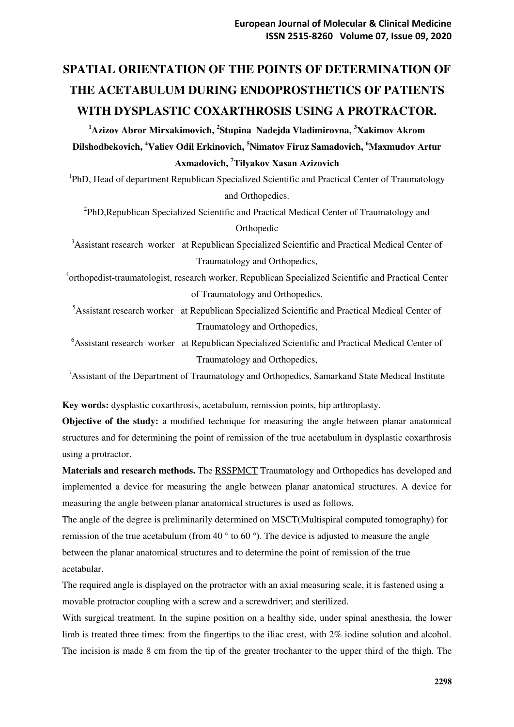## **SPATIAL ORIENTATION OF THE POINTS OF DETERMINATION OF THE ACETABULUM DURING ENDOPROSTHETICS OF PATIENTS WITH DYSPLASTIC COXARTHROSIS USING A PROTRACTOR.**

**<sup>1</sup>Azizov Abror Mirxakimovich, <sup>2</sup> Stupina Nadejda Vladimirovna, <sup>3</sup>Xakimov Аkrom Dilshodbekovich, <sup>4</sup>Valiev Odil Erkinovich, <sup>5</sup>Nimatov Firuz Samadovich, <sup>6</sup>Maxmudov Аrtur Аxmadovich, <sup>7</sup>Tilyakov Xasan Аzizovich**

<sup>1</sup>PhD, Head of department Republican Specialized Scientific and Practical Center of Traumatology and Orthopedics.

<sup>2</sup>PhD, Republican Specialized Scientific and Practical Medical Center of Traumatology and Orthopedic

<sup>3</sup>Assistant research worker at Republican Specialized Scientific and Practical Medical Center of Traumatology and Orthopedics,

4 orthopedist-traumatologist, research worker, Republican Specialized Scientific and Practical Center of Traumatology and Orthopedics.

<sup>5</sup>Assistant research worker at Republican Specialized Scientific and Practical Medical Center of Traumatology and Orthopedics,

<sup>6</sup>Assistant research worker at Republican Specialized Scientific and Practical Medical Center of Traumatology and Orthopedics,

<sup>7</sup>Assistant of the Department of Traumatology and Orthopedics, Samarkand State Medical Institute

**Key words:** dysplastic coxarthrosis, acetabulum, remission points, hip arthroplasty.

**Objective of the study:** a modified technique for measuring the angle between planar anatomical structures and for determining the point of remission of the true acetabulum in dysplastic coxarthrosis using a protractor.

**Materials and research methods.** The RSSPMCT Traumatology and Orthopedics has developed and implemented a device for measuring the angle between planar anatomical structures. A device for measuring the angle between planar anatomical structures is used as follows.

The angle of the degree is preliminarily determined on MSCT(Multispiral computed tomography) for remission of the true acetabulum (from 40 ° to 60 °). The device is adjusted to measure the angle between the planar anatomical structures and to determine the point of remission of the true acetabular.

The required angle is displayed on the protractor with an axial measuring scale, it is fastened using a movable protractor coupling with a screw and a screwdriver; and sterilized.

With surgical treatment. In the supine position on a healthy side, under spinal anesthesia, the lower limb is treated three times: from the fingertips to the iliac crest, with 2% iodine solution and alcohol. The incision is made 8 cm from the tip of the greater trochanter to the upper third of the thigh. The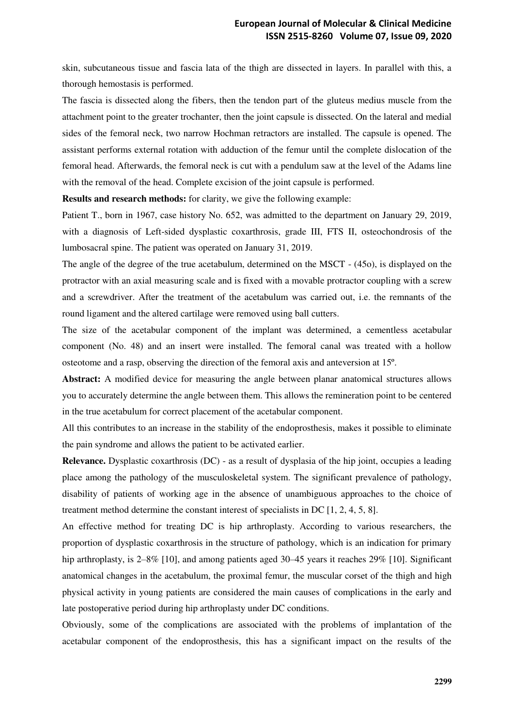skin, subcutaneous tissue and fascia lata of the thigh are dissected in layers. In parallel with this, a thorough hemostasis is performed.

The fascia is dissected along the fibers, then the tendon part of the gluteus medius muscle from the attachment point to the greater trochanter, then the joint capsule is dissected. On the lateral and medial sides of the femoral neck, two narrow Hochman retractors are installed. The capsule is opened. The assistant performs external rotation with adduction of the femur until the complete dislocation of the femoral head. Afterwards, the femoral neck is cut with a pendulum saw at the level of the Adams line with the removal of the head. Complete excision of the joint capsule is performed.

**Results and research methods:** for clarity, we give the following example:

Patient T., born in 1967, case history No. 652, was admitted to the department on January 29, 2019, with a diagnosis of Left-sided dysplastic coxarthrosis, grade III, FTS II, osteochondrosis of the lumbosacral spine. The patient was operated on January 31, 2019.

The angle of the degree of the true acetabulum, determined on the MSCT - (45o), is displayed on the protractor with an axial measuring scale and is fixed with a movable protractor coupling with a screw and a screwdriver. After the treatment of the acetabulum was carried out, i.e. the remnants of the round ligament and the altered cartilage were removed using ball cutters.

The size of the acetabular component of the implant was determined, a cementless acetabular component (No. 48) and an insert were installed. The femoral canal was treated with a hollow osteotome and a rasp, observing the direction of the femoral axis and anteversion at 15º.

**Abstract:** A modified device for measuring the angle between planar anatomical structures allows you to accurately determine the angle between them. This allows the remineration point to be centered in the true acetabulum for correct placement of the acetabular component.

All this contributes to an increase in the stability of the endoprosthesis, makes it possible to eliminate the pain syndrome and allows the patient to be activated earlier.

**Relevance.** Dysplastic coxarthrosis (DC) - as a result of dysplasia of the hip joint, occupies a leading place among the pathology of the musculoskeletal system. The significant prevalence of pathology, disability of patients of working age in the absence of unambiguous approaches to the choice of treatment method determine the constant interest of specialists in DC [1, 2, 4, 5, 8].

An effective method for treating DC is hip arthroplasty. According to various researchers, the proportion of dysplastic coxarthrosis in the structure of pathology, which is an indication for primary hip arthroplasty, is 2–8% [10], and among patients aged 30–45 years it reaches 29% [10]. Significant anatomical changes in the acetabulum, the proximal femur, the muscular corset of the thigh and high physical activity in young patients are considered the main causes of complications in the early and late postoperative period during hip arthroplasty under DC conditions.

Obviously, some of the complications are associated with the problems of implantation of the acetabular component of the endoprosthesis, this has a significant impact on the results of the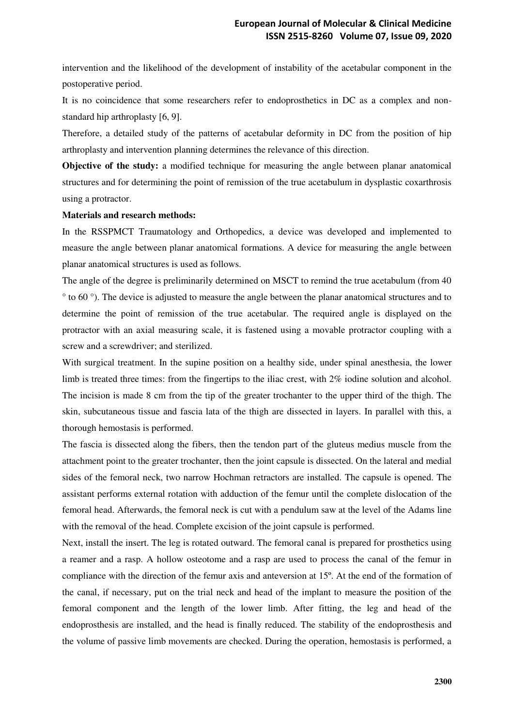intervention and the likelihood of the development of instability of the acetabular component in the postoperative period.

It is no coincidence that some researchers refer to endoprosthetics in DC as a complex and nonstandard hip arthroplasty [6, 9].

Therefore, a detailed study of the patterns of acetabular deformity in DC from the position of hip arthroplasty and intervention planning determines the relevance of this direction.

**Objective of the study:** a modified technique for measuring the angle between planar anatomical structures and for determining the point of remission of the true acetabulum in dysplastic coxarthrosis using a protractor.

## **Materials and research methods:**

In the RSSPMCT Traumatology and Orthopedics, a device was developed and implemented to measure the angle between planar anatomical formations. A device for measuring the angle between planar anatomical structures is used as follows.

The angle of the degree is preliminarily determined on MSCT to remind the true acetabulum (from 40 ° to 60 °). The device is adjusted to measure the angle between the planar anatomical structures and to determine the point of remission of the true acetabular. The required angle is displayed on the protractor with an axial measuring scale, it is fastened using a movable protractor coupling with a screw and a screwdriver; and sterilized.

With surgical treatment. In the supine position on a healthy side, under spinal anesthesia, the lower limb is treated three times: from the fingertips to the iliac crest, with 2% iodine solution and alcohol. The incision is made 8 cm from the tip of the greater trochanter to the upper third of the thigh. The skin, subcutaneous tissue and fascia lata of the thigh are dissected in layers. In parallel with this, a thorough hemostasis is performed.

The fascia is dissected along the fibers, then the tendon part of the gluteus medius muscle from the attachment point to the greater trochanter, then the joint capsule is dissected. On the lateral and medial sides of the femoral neck, two narrow Hochman retractors are installed. The capsule is opened. The assistant performs external rotation with adduction of the femur until the complete dislocation of the femoral head. Afterwards, the femoral neck is cut with a pendulum saw at the level of the Adams line with the removal of the head. Complete excision of the joint capsule is performed.

Next, install the insert. The leg is rotated outward. The femoral canal is prepared for prosthetics using a reamer and a rasp. A hollow osteotome and a rasp are used to process the canal of the femur in compliance with the direction of the femur axis and anteversion at 15º. At the end of the formation of the canal, if necessary, put on the trial neck and head of the implant to measure the position of the femoral component and the length of the lower limb. After fitting, the leg and head of the endoprosthesis are installed, and the head is finally reduced. The stability of the endoprosthesis and the volume of passive limb movements are checked. During the operation, hemostasis is performed, a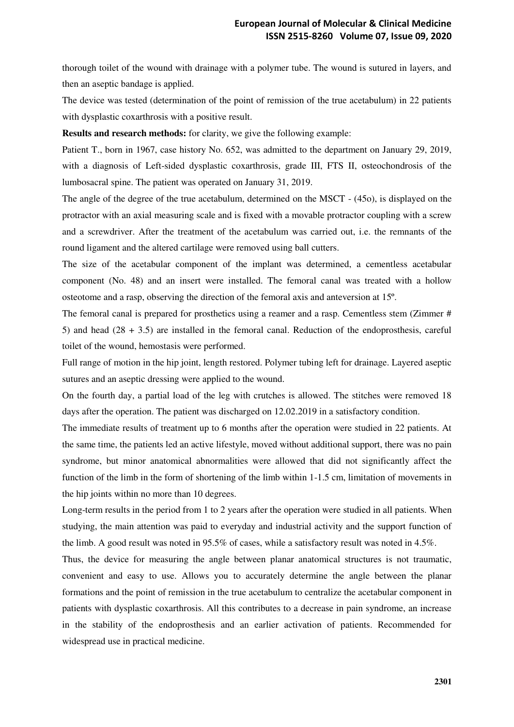thorough toilet of the wound with drainage with a polymer tube. The wound is sutured in layers, and then an aseptic bandage is applied.

The device was tested (determination of the point of remission of the true acetabulum) in 22 patients with dysplastic coxarthrosis with a positive result.

**Results and research methods:** for clarity, we give the following example:

Patient T., born in 1967, case history No. 652, was admitted to the department on January 29, 2019, with a diagnosis of Left-sided dysplastic coxarthrosis, grade III, FTS II, osteochondrosis of the lumbosacral spine. The patient was operated on January 31, 2019.

The angle of the degree of the true acetabulum, determined on the MSCT - (45o), is displayed on the protractor with an axial measuring scale and is fixed with a movable protractor coupling with a screw and a screwdriver. After the treatment of the acetabulum was carried out, i.e. the remnants of the round ligament and the altered cartilage were removed using ball cutters.

The size of the acetabular component of the implant was determined, a cementless acetabular component (No. 48) and an insert were installed. The femoral canal was treated with a hollow osteotome and a rasp, observing the direction of the femoral axis and anteversion at 15º.

The femoral canal is prepared for prosthetics using a reamer and a rasp. Cementless stem (Zimmer # 5) and head (28 + 3.5) are installed in the femoral canal. Reduction of the endoprosthesis, careful toilet of the wound, hemostasis were performed.

Full range of motion in the hip joint, length restored. Polymer tubing left for drainage. Layered aseptic sutures and an aseptic dressing were applied to the wound.

On the fourth day, a partial load of the leg with crutches is allowed. The stitches were removed 18 days after the operation. The patient was discharged on 12.02.2019 in a satisfactory condition.

The immediate results of treatment up to 6 months after the operation were studied in 22 patients. At the same time, the patients led an active lifestyle, moved without additional support, there was no pain syndrome, but minor anatomical abnormalities were allowed that did not significantly affect the function of the limb in the form of shortening of the limb within 1-1.5 cm, limitation of movements in the hip joints within no more than 10 degrees.

Long-term results in the period from 1 to 2 years after the operation were studied in all patients. When studying, the main attention was paid to everyday and industrial activity and the support function of the limb. A good result was noted in 95.5% of cases, while a satisfactory result was noted in 4.5%.

Thus, the device for measuring the angle between planar anatomical structures is not traumatic, convenient and easy to use. Allows you to accurately determine the angle between the planar formations and the point of remission in the true acetabulum to centralize the acetabular component in patients with dysplastic coxarthrosis. All this contributes to a decrease in pain syndrome, an increase in the stability of the endoprosthesis and an earlier activation of patients. Recommended for widespread use in practical medicine.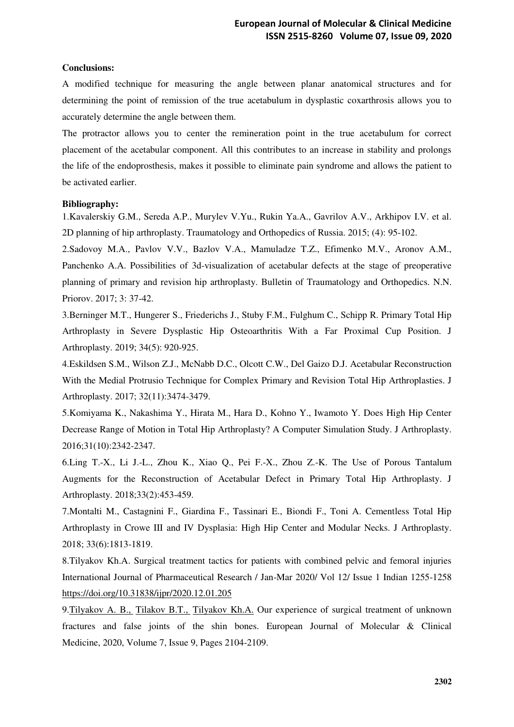## **Conclusions:**

A modified technique for measuring the angle between planar anatomical structures and for determining the point of remission of the true acetabulum in dysplastic coxarthrosis allows you to accurately determine the angle between them.

The protractor allows you to center the remineration point in the true acetabulum for correct placement of the acetabular component. All this contributes to an increase in stability and prolongs the life of the endoprosthesis, makes it possible to eliminate pain syndrome and allows the patient to be activated earlier.

## **Bibliography:**

1.Kavalerskiy G.M., Sereda A.P., Murylev V.Yu., Rukin Ya.A., Gavrilov A.V., Arkhipov I.V. et al. 2D planning of hip arthroplasty. Traumatology and Orthopedics of Russia. 2015; (4): 95-102.

2.Sadovoy M.A., Pavlov V.V., Bazlov V.A., Mamuladze T.Z., Efimenko M.V., Aronov A.M., Panchenko A.A. Possibilities of 3d-visualization of acetabular defects at the stage of preoperative planning of primary and revision hip arthroplasty. Bulletin of Traumatology and Orthopedics. N.N. Priorov. 2017; 3: 37-42.

3.Berninger M.T., Hungerer S., Friederichs J., Stuby F.M., Fulghum C., Schipp R. Primary Total Hip Arthroplasty in Severe Dysplastic Hip Osteoarthritis With a Far Proximal Cup Position. J Arthroplasty. 2019; 34(5): 920-925.

4.Eskildsen S.M., Wilson Z.J., McNabb D.C., Olcott C.W., Del Gaizo D.J. Acetabular Reconstruction With the Medial Protrusio Technique for Complex Primary and Revision Total Hip Arthroplasties. J Arthroplasty. 2017; 32(11):3474-3479.

5.Komiyama K., Nakashima Y., Hirata M., Hara D., Kohno Y., Iwamoto Y. Does High Hip Center Decrease Range of Motion in Total Hip Arthroplasty? A Computer Simulation Study. J Arthroplasty. 2016;31(10):2342-2347.

6.Ling T.-X., Li J.-L., Zhou K., Xiao Q., Pei F.-X., Zhou Z.-K. The Use of Porous Tantalum Augments for the Reconstruction of Acetabular Defect in Primary Total Hip Arthroplasty. J Arthroplasty. 2018;33(2):453-459.

7.Montalti M., Castagnini F., Giardina F., Tassinari E., Biondi F., Toni A. Cementless Total Hip Arthroplasty in Crowe III and IV Dysplasia: High Hip Center and Modular Necks. J Arthroplasty. 2018; 33(6):1813-1819.

8.Tilyakov Kh.A. Surgical treatment tactics for patients with combined pelvic and femoral injuries International Journal of Pharmaceutical Research / Jan-Mar 2020/ Vol 12/ Issue 1 Indian 1255-1258 <https://doi.org/10.31838/ijpr/2020.12.01.205>

9[.Tilyakov A. B., Tilakov B.T., Tilyakov Kh.A.](https://ejmcm.com/article_6158.html) Оur experience of surgical treatment of unknown fractures and false joints of the shin bones. European Journal of Molecular & Clinical Medicine, 2020, Volume 7, Issue 9, Pages 2104-2109.